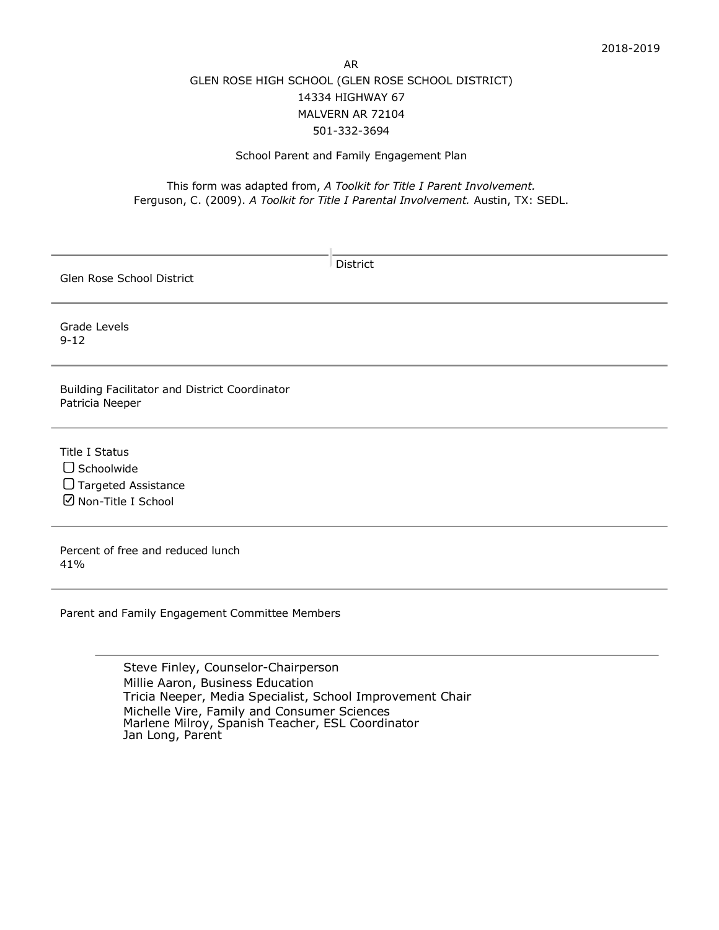## AR GLEN ROSE HIGH SCHOOL (GLEN ROSE SCHOOL DISTRICT) 14334 HIGHWAY 67 MALVERN AR 72104 501-332-3694

## School Parent and Family Engagement Plan

## This form was adapted from, *A Toolkit for Title I Parent Involvement.* Ferguson, C. (2009). *A Toolkit for Title I Parental Involvement.* Austin, TX: SEDL.

| <b>District</b><br>Glen Rose School District                                                     |  |
|--------------------------------------------------------------------------------------------------|--|
| Grade Levels<br>$9 - 12$                                                                         |  |
| Building Facilitator and District Coordinator<br>Patricia Neeper                                 |  |
| <b>Title I Status</b><br>$\Box$ Schoolwide<br>$\Box$ Targeted Assistance<br>☑ Non-Title I School |  |
| Percent of free and reduced lunch<br>41%                                                         |  |
| Parent and Family Engagement Committee Members                                                   |  |

Steve Finley, Counselor-Chairperson Millie Aaron, Business Education Tricia Neeper, Media Specialist, School Improvement Chair Michelle Vire, Family and Consumer SciencesMarlene Milroy, Spanish Teacher, ESL Coordinator Jan Long, Parent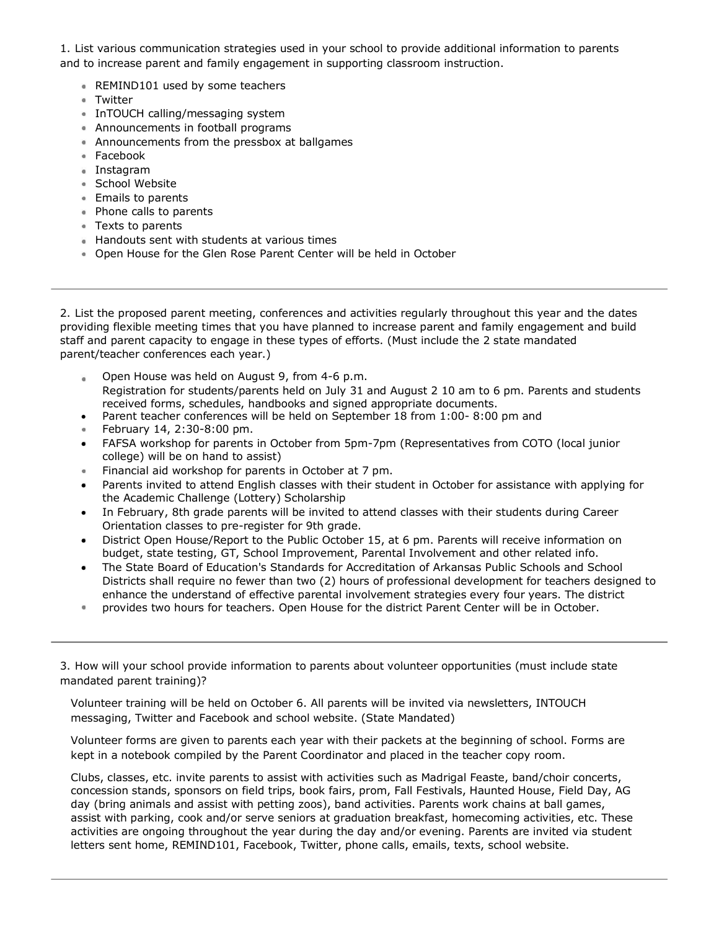1. List various communication strategies used in your school to provide additional information to parents and to increase parent and family engagement in supporting classroom instruction.

- REMIND101 used by some teachers
- Twitter
- **InTOUCH calling/messaging system**
- Announcements in football programs
- Announcements from the pressbox at ballgames
- Facebook
- Instagram
- School Website
- **Emails to parents**
- Phone calls to parents
- Texts to parents
- **Handouts sent with students at various times**
- Open House for the Glen Rose Parent Center will be held in October

2. List the proposed parent meeting, conferences and activities regularly throughout this year and the dates providing flexible meeting times that you have planned to increase parent and family engagement and build staff and parent capacity to engage in these types of efforts. (Must include the 2 state mandated parent/teacher conferences each year.)

- Open House was held on August 9, from 4-6 p.m.  $\ddot{\bullet}$ Registration for students/parents held on July 31 and August 2 10 am to 6 pm. Parents and students received forms, schedules, handbooks and signed appropriate documents.
- Parent teacher conferences will be held on September 18 from 1:00- 8:00 pm and
- February 14, 2:30-8:00 pm.
- FAFSA workshop for parents in October from 5pm-7pm (Representatives from COTO (local junior college) will be on hand to assist)
- Financial aid workshop for parents in October at 7 pm.
- Parents invited to attend English classes with their student in October for assistance with applying for the Academic Challenge (Lottery) Scholarship
- In February, 8th grade parents will be invited to attend classes with their students during Career Orientation classes to pre-register for 9th grade.
- District Open House/Report to the Public October 15, at 6 pm. Parents will receive information on budget, state testing, GT, School Improvement, Parental Involvement and other related info.
- The State Board of Education's Standards for Accreditation of Arkansas Public Schools and School Districts shall require no fewer than two (2) hours of professional development for teachers designed to enhance the understand of effective parental involvement strategies every four years. The district
- provides two hours for teachers. Open House for the district Parent Center will be in October.

3. How will your school provide information to parents about volunteer opportunities (must include state mandated parent training)?

Volunteer training will be held on October 6. All parents will be invited via newsletters, INTOUCH messaging, Twitter and Facebook and school website. (State Mandated)

Volunteer forms are given to parents each year with their packets at the beginning of school. Forms are kept in a notebook compiled by the Parent Coordinator and placed in the teacher copy room.

Clubs, classes, etc. invite parents to assist with activities such as Madrigal Feaste, band/choir concerts, concession stands, sponsors on field trips, book fairs, prom, Fall Festivals, Haunted House, Field Day, AG day (bring animals and assist with petting zoos), band activities. Parents work chains at ball games, assist with parking, cook and/or serve seniors at graduation breakfast, homecoming activities, etc. These activities are ongoing throughout the year during the day and/or evening. Parents are invited via student letters sent home, REMIND101, Facebook, Twitter, phone calls, emails, texts, school website.